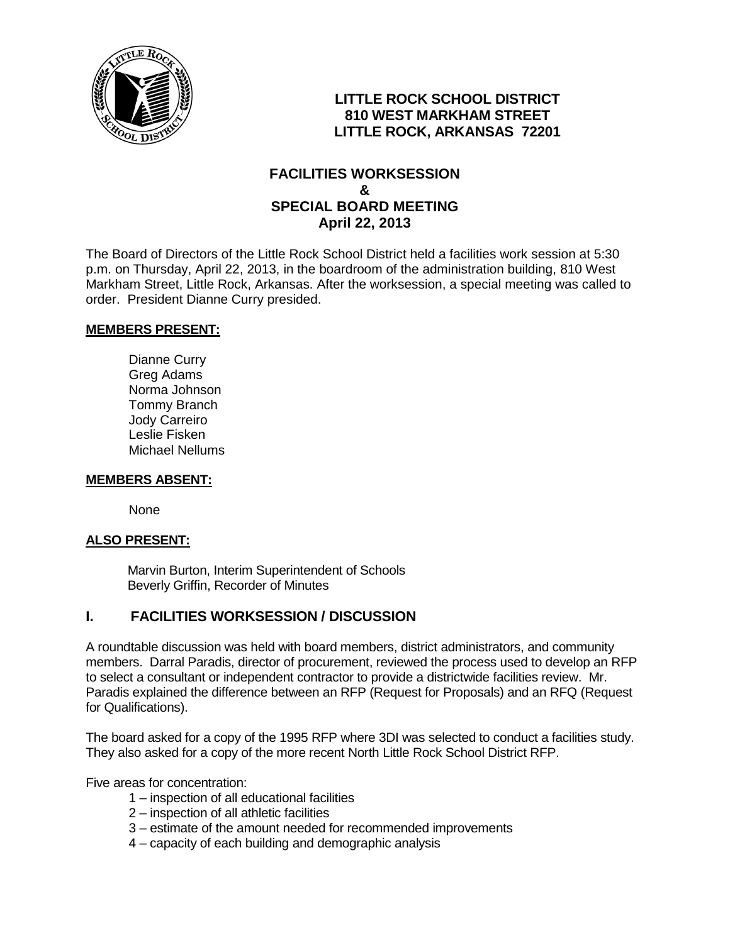

## **LITTLE ROCK SCHOOL DISTRICT 810 WEST MARKHAM STREET LITTLE ROCK, ARKANSAS 72201**

### **FACILITIES WORKSESSION & SPECIAL BOARD MEETING April 22, 2013**

The Board of Directors of the Little Rock School District held a facilities work session at 5:30 p.m. on Thursday, April 22, 2013, in the boardroom of the administration building, 810 West Markham Street, Little Rock, Arkansas. After the worksession, a special meeting was called to order. President Dianne Curry presided.

#### **MEMBERS PRESENT:**

Dianne Curry Greg Adams Norma Johnson Tommy Branch Jody Carreiro Leslie Fisken Michael Nellums

#### **MEMBERS ABSENT:**

None

#### **ALSO PRESENT:**

 Marvin Burton, Interim Superintendent of Schools Beverly Griffin, Recorder of Minutes

### **I. FACILITIES WORKSESSION / DISCUSSION**

A roundtable discussion was held with board members, district administrators, and community members. Darral Paradis, director of procurement, reviewed the process used to develop an RFP to select a consultant or independent contractor to provide a districtwide facilities review. Mr. Paradis explained the difference between an RFP (Request for Proposals) and an RFQ (Request for Qualifications).

The board asked for a copy of the 1995 RFP where 3DI was selected to conduct a facilities study. They also asked for a copy of the more recent North Little Rock School District RFP.

Five areas for concentration:

- 1 inspection of all educational facilities
- 2 inspection of all athletic facilities
- 3 estimate of the amount needed for recommended improvements
- 4 capacity of each building and demographic analysis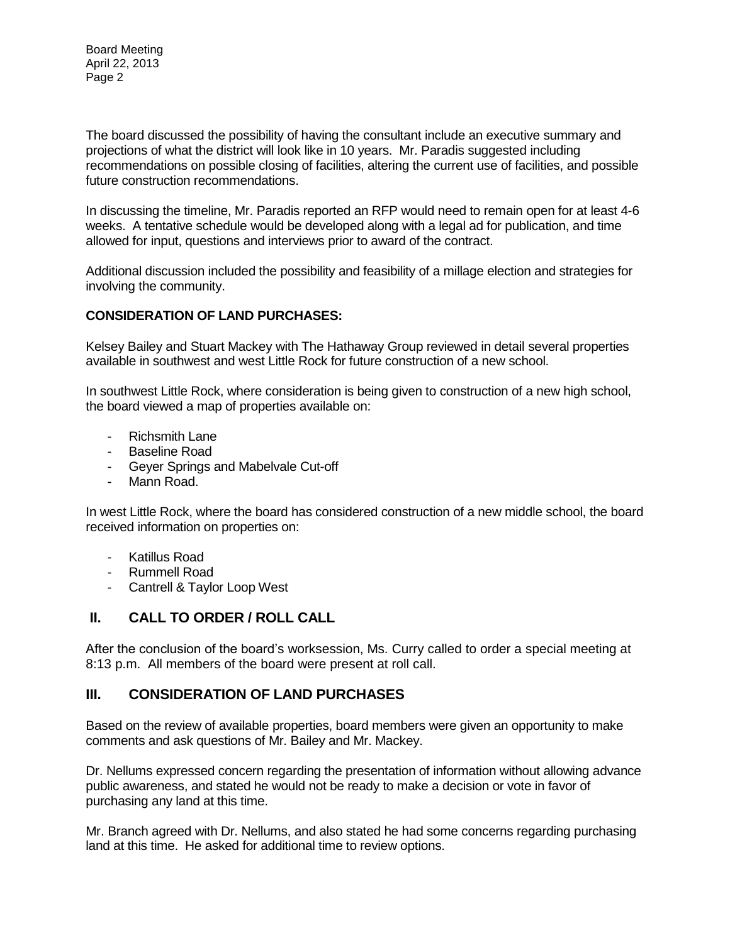The board discussed the possibility of having the consultant include an executive summary and projections of what the district will look like in 10 years. Mr. Paradis suggested including recommendations on possible closing of facilities, altering the current use of facilities, and possible future construction recommendations.

In discussing the timeline, Mr. Paradis reported an RFP would need to remain open for at least 4-6 weeks. A tentative schedule would be developed along with a legal ad for publication, and time allowed for input, questions and interviews prior to award of the contract.

Additional discussion included the possibility and feasibility of a millage election and strategies for involving the community.

#### **CONSIDERATION OF LAND PURCHASES:**

Kelsey Bailey and Stuart Mackey with The Hathaway Group reviewed in detail several properties available in southwest and west Little Rock for future construction of a new school.

In southwest Little Rock, where consideration is being given to construction of a new high school, the board viewed a map of properties available on:

- Richsmith Lane
- Baseline Road
- Geyer Springs and Mabelvale Cut-off
- Mann Road.

In west Little Rock, where the board has considered construction of a new middle school, the board received information on properties on:

- Katillus Road
- Rummell Road
- Cantrell & Taylor Loop West

# **II. CALL TO ORDER / ROLL CALL**

After the conclusion of the board's worksession, Ms. Curry called to order a special meeting at 8:13 p.m. All members of the board were present at roll call.

### **III. CONSIDERATION OF LAND PURCHASES**

Based on the review of available properties, board members were given an opportunity to make comments and ask questions of Mr. Bailey and Mr. Mackey.

Dr. Nellums expressed concern regarding the presentation of information without allowing advance public awareness, and stated he would not be ready to make a decision or vote in favor of purchasing any land at this time.

Mr. Branch agreed with Dr. Nellums, and also stated he had some concerns regarding purchasing land at this time. He asked for additional time to review options.